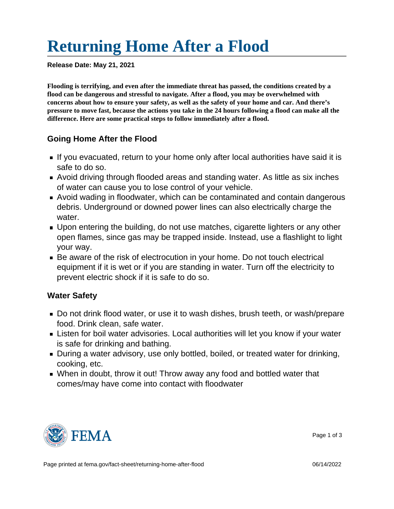# [Returning Home After a Flood](https://edit.fema.gov/fact-sheet/returning-home-after-flood)

Release Date: May 21, 2021

Flooding is terrifying, and even after the immediate threat has passed, the conditions created by a flood can be dangerous and stressful to navigate. After a flood, you may be overwhelmed with concerns about how to ensure your safety, as well as the safety of your home and car. And there's pressure to move fast, because the actions you take in the 24 hours following a flood can make all the difference. Here are some practical steps to follow immediately after a flood.

#### Going Home After the Flood

- If you evacuated, return to your home only after local authorities have said it is safe to do so.
- Avoid driving through flooded areas and standing water. As little as six inches of water can cause you to lose control of your vehicle.
- Avoid wading in floodwater, which can be contaminated and contain dangerous debris. Underground or downed power lines can also electrically charge the water.
- Upon entering the building, do not use matches, cigarette lighters or any other open flames, since gas may be trapped inside. Instead, use a flashlight to light your way.
- Be aware of the risk of electrocution in your home. Do not touch electrical equipment if it is wet or if you are standing in water. Turn off the electricity to prevent electric shock if it is safe to do so.

#### Water Safety

- Do not drink flood water, or use it to wash dishes, brush teeth, or wash/prepare food. Drink clean, safe water.
- Listen for boil water advisories. Local authorities will let you know if your water is safe for drinking and bathing.
- **During a water advisory, use only bottled, boiled, or treated water for drinking,** cooking, etc.
- When in doubt, throw it out! Throw away any food and bottled water that comes/may have come into contact with floodwater



Page 1 of 3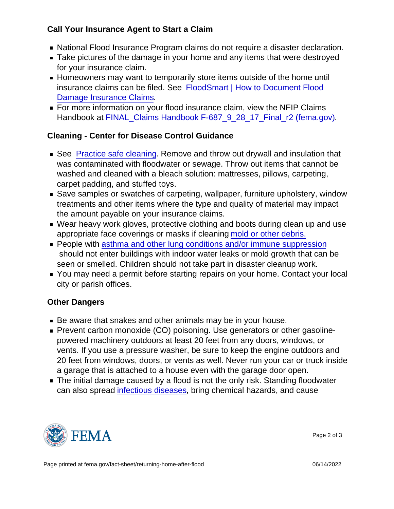Call Your Insurance Agent to Start a Claim

- National Flood Insurance Program claims do not require a disaster declaration.
- **Take pictures of the damage in your home and any items that were destroyed** for your insurance claim.
- Homeowners may want to temporarily store items outside of the home until insurance claims can be filed. See [FloodSmart | How to Document Flood](https://www.floodsmart.gov/flood/document-damage) [Damage Insurance Claims.](https://www.floodsmart.gov/flood/document-damage)
- **For more information on your flood insurance claim, view the NFIP Claims** Handbook at [FINAL\\_Claims Handbook F-687\\_9\\_28\\_17\\_Final\\_r2 \(fema.gov\)](https://www.fema.gov/sites/default/files/2020-05/FINAL_ClaimsHandbook_10252017.pdf).

## Cleaning - Center for Disease Control Guidance

- See [Practice safe cleaning.](https://www.cdc.gov/disasters/cleanup/facts.html) Remove and throw out drywall and insulation that was contaminated with floodwater or sewage. Throw out items that cannot be washed and cleaned with a bleach solution: mattresses, pillows, carpeting, carpet padding, and stuffed toys.
- Save samples or swatches of carpeting, wallpaper, furniture upholstery, window treatments and other items where the type and quality of material may impact the amount payable on your insurance claims.
- Wear heavy work gloves, protective clothing and boots during clean up and use appropriate face coverings or masks if cleaning [mold or other debris.](https://www.cdc.gov/mold/cleanup-guide.html)
- People with [asthma and other lung conditions and/or immune suppression](https://www.cdc.gov/disasters/clinicians_asthma.html) should not enter buildings with indoor water leaks or mold growth that can be seen or smelled. Children should not take part in disaster cleanup work.
- You may need a permit before starting repairs on your home. Contact your local city or parish offices.

### Other Dangers

- Be aware that snakes and other animals may be in your house.
- **Prevent carbon monoxide (CO) poisoning. Use generators or other gasoline**powered machinery outdoors at least 20 feet from any doors, windows, or vents. If you use a pressure washer, be sure to keep the engine outdoors and 20 feet from windows, doors, or vents as well. Never run your car or truck inside a garage that is attached to a house even with the garage door open.
- The initial damage caused by a flood is not the only risk. Standing floodwater can also spread [infectious diseases,](https://www.cdc.gov/disasters/floods/floodsafety.html) bring chemical hazards, and cause



Page 2 of 3